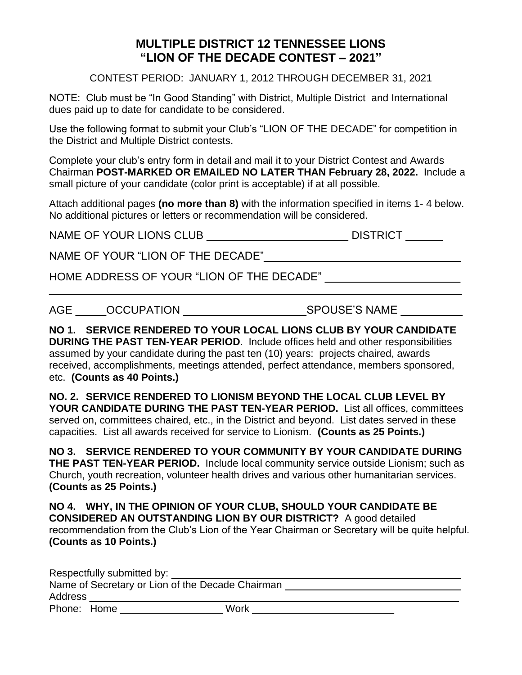## **MULTIPLE DISTRICT 12 TENNESSEE LIONS "LION OF THE DECADE CONTEST – 2021"**

CONTEST PERIOD: JANUARY 1, 2012 THROUGH DECEMBER 31, 2021

NOTE: Club must be "In Good Standing" with District, Multiple District and International dues paid up to date for candidate to be considered.

Use the following format to submit your Club's "LION OF THE DECADE" for competition in the District and Multiple District contests.

Complete your club's entry form in detail and mail it to your District Contest and Awards Chairman **POST-MARKED OR EMAILED NO LATER THAN February 28, 2022.** Include a small picture of your candidate (color print is acceptable) if at all possible.

Attach additional pages **(no more than 8)** with the information specified in items 1- 4 below. No additional pictures or letters or recommendation will be considered.

NAME OF YOUR LIONS CLUB \_\_\_\_\_\_\_\_\_\_\_\_\_\_\_\_\_\_\_\_\_\_\_\_\_\_\_\_\_\_\_\_ DISTRICT \_\_\_\_\_\_\_

NAME OF YOUR "LION OF THE DECADE"\_\_\_\_\_\_\_\_\_\_\_\_\_\_\_\_\_\_\_\_\_\_\_\_\_\_\_\_\_\_\_\_

HOME ADDRESS OF YOUR "LION OF THE DECADE"

AGE \_\_\_\_\_OCCUPATION \_\_\_\_\_\_\_\_\_\_\_\_\_\_\_\_\_\_\_\_SPOUSE'S NAME \_\_\_\_\_\_\_\_\_\_

**NO 1. SERVICE RENDERED TO YOUR LOCAL LIONS CLUB BY YOUR CANDIDATE DURING THE PAST TEN-YEAR PERIOD**. Include offices held and other responsibilities assumed by your candidate during the past ten (10) years: projects chaired, awards received, accomplishments, meetings attended, perfect attendance, members sponsored, etc. **(Counts as 40 Points.)**

 $\_$  , and the set of the set of the set of the set of the set of the set of the set of the set of the set of the set of the set of the set of the set of the set of the set of the set of the set of the set of the set of th

**NO. 2. SERVICE RENDERED TO LIONISM BEYOND THE LOCAL CLUB LEVEL BY YOUR CANDIDATE DURING THE PAST TEN-YEAR PERIOD.** List all offices, committees served on, committees chaired, etc., in the District and beyond. List dates served in these capacities. List all awards received for service to Lionism. **(Counts as 25 Points.)**

**NO 3. SERVICE RENDERED TO YOUR COMMUNITY BY YOUR CANDIDATE DURING THE PAST TEN-YEAR PERIOD.** Include local community service outside Lionism; such as Church, youth recreation, volunteer health drives and various other humanitarian services. **(Counts as 25 Points.)** 

**NO 4. WHY, IN THE OPINION OF YOUR CLUB, SHOULD YOUR CANDIDATE BE CONSIDERED AN OUTSTANDING LION BY OUR DISTRICT?** A good detailed recommendation from the Club's Lion of the Year Chairman or Secretary will be quite helpful. **(Counts as 10 Points.)**

| Respectfully submitted by:                       |  |      |
|--------------------------------------------------|--|------|
| Name of Secretary or Lion of the Decade Chairman |  |      |
| Address                                          |  |      |
| Phone: Home                                      |  | Work |